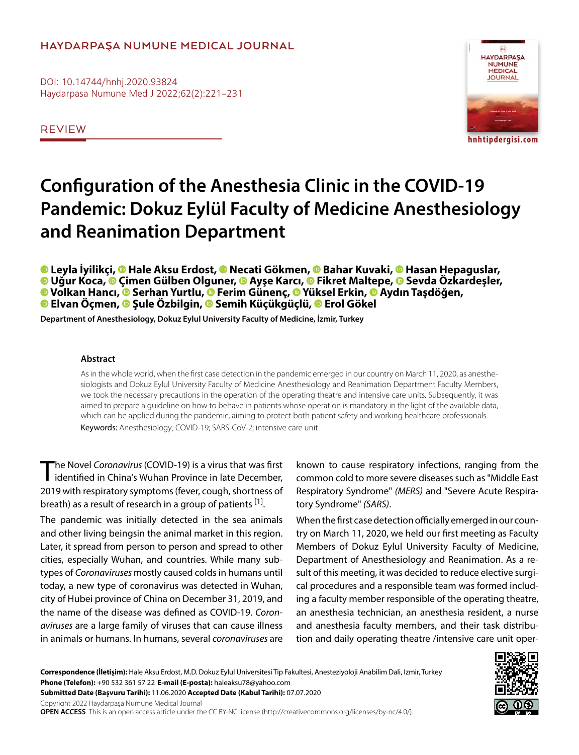# **HAYDARPAŞA NUMUNE MEDICAL JOURNAL**

DOI: 10.14744/hnhj.2020.93824 Haydarpasa Numune Med J 2022;62(2):221–231

REVIEW



# **Configuration of the Anesthesia Clinic in the COVID-19 Pandemic: Dokuz Eylül Faculty of Medicine Anesthesiology and Reanimation Department**

**Leyla İyilikçi,Hale Aksu Erdost,Necati Gökmen,Bahar Kuvaki,Hasan Hepaguslar, Uğur Koca,Çimen Gülben Olguner,Ayşe Karcı,Fikret Maltepe,Sevda Özkardeşler, Volkan Hancı,Serhan Yurtlu,Ferim Günenç,Yüksel Erkin,Aydın Taşdöğen, Elvan Öçmen,Şule Özbilgin,Semih Küçükgüçlü,Erol Gökel**

**Department of Anesthesiology, Dokuz Eylul University Faculty of Medicine, İzmir, Turkey**

#### **Abstract**

As in the whole world, when the first case detection in the pandemic emerged in our country on March 11, 2020, as anesthesiologists and Dokuz Eylul University Faculty of Medicine Anesthesiology and Reanimation Department Faculty Members, we took the necessary precautions in the operation of the operating theatre and intensive care units. Subsequently, it was aimed to prepare a guideline on how to behave in patients whose operation is mandatory in the light of the available data, which can be applied during the pandemic, aiming to protect both patient safety and working healthcare professionals. Keywords: Anesthesiology; COVID-19; SARS-CoV-2; intensive care unit

The Novel *Coronavirus* (COVID-19) is a virus that was first identified in China's Wuhan Province in late December, 2019 with respiratory symptoms (fever, cough, shortness of breath) as a result of research in a group of patients [1].

The pandemic was initially detected in the sea animals and other living beingsin the animal market in this region. Later, it spread from person to person and spread to other cities, especially Wuhan, and countries. While many subtypes of *Coronaviruses* mostly caused colds in humans until today, a new type of coronavirus was detected in Wuhan, city of Hubei province of China on December 31, 2019, and the name of the disease was defined as COVID-19. *Coronaviruses* are a large family of viruses that can cause illness in animals or humans. In humans, several *coronaviruses* are

known to cause respiratory infections, ranging from the common cold to more severe diseases such as "Middle East Respiratory Syndrome" *(MERS)* and "Severe Acute Respiratory Syndrome" *(SARS)*.

When the first case detection officially emerged in our country on March 11, 2020, we held our first meeting as Faculty Members of Dokuz Eylul University Faculty of Medicine, Department of Anesthesiology and Reanimation. As a result of this meeting, it was decided to reduce elective surgical procedures and a responsible team was formed including a faculty member responsible of the operating theatre, an anesthesia technician, an anesthesia resident, a nurse and anesthesia faculty members, and their task distribution and daily operating theatre /intensive care unit oper-

**Correspondence (İletişim):** Hale Aksu Erdost, M.D. Dokuz Eylul Universitesi Tip Fakultesi, Anesteziyoloji Anabilim Dali, Izmir, Turkey **Phone (Telefon):** +90 532 361 57 22 **E-mail (E-posta):** haleaksu78@yahoo.com **Submitted Date (Başvuru Tarihi):** 11.06.2020 **Accepted Date (Kabul Tarihi):** 07.07.2020

Copyright 2022 Haydarpaşa Numune Medical Journal

**OPEN ACCESS** This is an open access article under the CC BY-NC license (http://creativecommons.org/licenses/by-nc/4.0/).

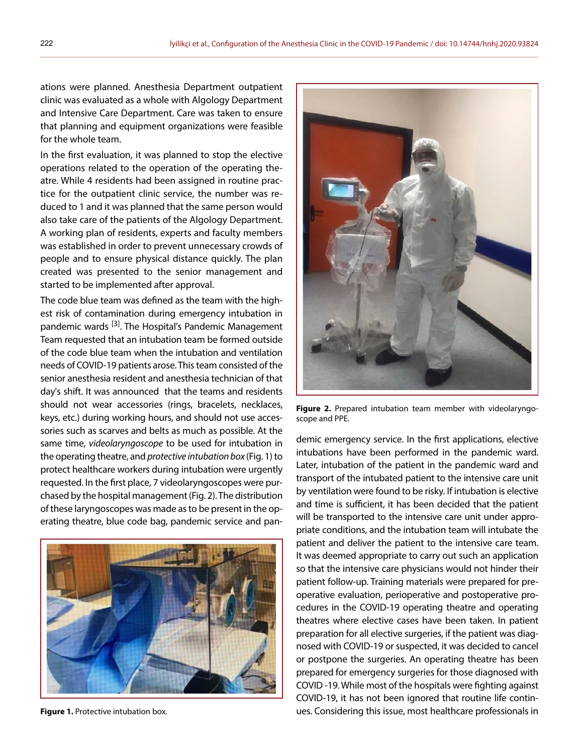ations were planned. Anesthesia Department outpatient clinic was evaluated as a whole with Algology Department and Intensive Care Department. Care was taken to ensure that planning and equipment organizations were feasible for the whole team.

In the first evaluation, it was planned to stop the elective operations related to the operation of the operating theatre. While 4 residents had been assigned in routine practice for the outpatient clinic service, the number was reduced to 1 and it was planned that the same person would also take care of the patients of the Algology Department. A working plan of residents, experts and faculty members was established in order to prevent unnecessary crowds of people and to ensure physical distance quickly. The plan created was presented to the senior management and started to be implemented after approval.

The code blue team was defined as the team with the highest risk of contamination during emergency intubation in pandemic wards <sup>[3]</sup>. The Hospital's Pandemic Management Team requested that an intubation team be formed outside of the code blue team when the intubation and ventilation needs of COVID-19 patients arose. This team consisted of the senior anesthesia resident and anesthesia technician of that day's shift. It was announced that the teams and residents should not wear accessories (rings, bracelets, necklaces, keys, etc.) during working hours, and should not use accessories such as scarves and belts as much as possible. At the same time, *videolaryngoscope* to be used for intubation in the operating theatre, and *protective intubation box* (Fig. 1) to protect healthcare workers during intubation were urgently requested. In the first place, 7 videolaryngoscopes were purchased by the hospital management (Fig. 2). The distribution of these laryngoscopes was made as to be present in the operating theatre, blue code bag, pandemic service and pan-





**Figure 2.** Prepared intubation team member with videolaryngoscope and PPE.

demic emergency service. In the first applications, elective intubations have been performed in the pandemic ward. Later, intubation of the patient in the pandemic ward and transport of the intubated patient to the intensive care unit by ventilation were found to be risky. If intubation is elective and time is sufficient, it has been decided that the patient will be transported to the intensive care unit under appropriate conditions, and the intubation team will intubate the patient and deliver the patient to the intensive care team. It was deemed appropriate to carry out such an application so that the intensive care physicians would not hinder their patient follow-up. Training materials were prepared for preoperative evaluation, perioperative and postoperative procedures in the COVID-19 operating theatre and operating theatres where elective cases have been taken. In patient preparation for all elective surgeries, if the patient was diagnosed with COVID-19 or suspected, it was decided to cancel or postpone the surgeries. An operating theatre has been prepared for emergency surgeries for those diagnosed with COVID -19. While most of the hospitals were fighting against COVID-19, it has not been ignored that routine life contin-**Figure 1.** Protective intubation box. **under the set of the set of the set of the set of the set of the set of t**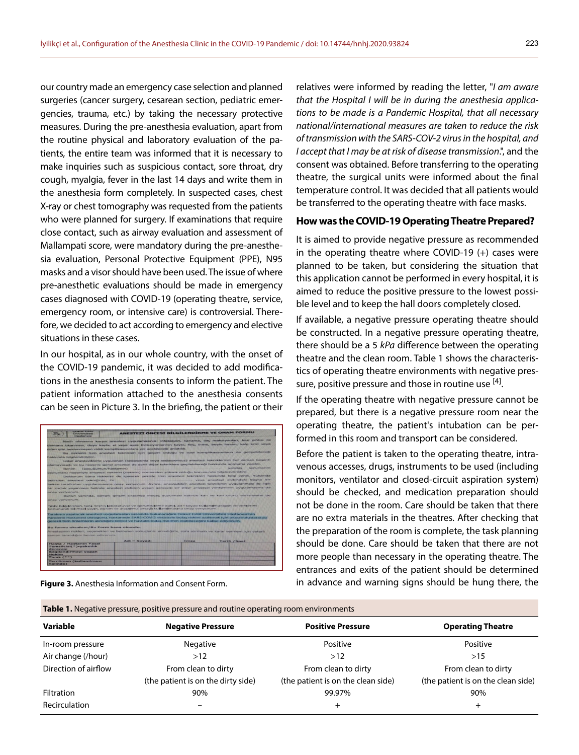our country made an emergency case selection and planned surgeries (cancer surgery, cesarean section, pediatric emergencies, trauma, etc.) by taking the necessary protective measures. During the pre-anesthesia evaluation, apart from the routine physical and laboratory evaluation of the patients, the entire team was informed that it is necessary to make inquiries such as suspicious contact, sore throat, dry cough, myalgia, fever in the last 14 days and write them in the anesthesia form completely. In suspected cases, chest X-ray or chest tomography was requested from the patients who were planned for surgery. If examinations that require close contact, such as airway evaluation and assessment of Mallampati score, were mandatory during the pre-anesthesia evaluation, Personal Protective Equipment (PPE), N95 masks and a visor should have been used. The issue of where pre-anesthetic evaluations should be made in emergency cases diagnosed with COVID-19 (operating theatre, service, emergency room, or intensive care) is controversial. Therefore, we decided to act according to emergency and elective situations in these cases.

In our hospital, as in our whole country, with the onset of the COVID-19 pandemic, it was decided to add modifications in the anesthesia consents to inform the patient. The patient information attached to the anesthesia consents can be seen in Picture 3. In the briefing, the patient or their

| <b>LIONIST EVISIT</b><br><b>Universites!</b><br><b>HaveTasmend</b>                                                                                                                                                                                                                                                                                                                  |                |                | ANESTEZI ÖNCESI BİLGİLENDİRME VE ONAM FORMU                                                                                                                                                                                                                                                                                                                                                                                                                                                                                                                                                                                                                                                                                                                                                                                                                                                                                      |
|-------------------------------------------------------------------------------------------------------------------------------------------------------------------------------------------------------------------------------------------------------------------------------------------------------------------------------------------------------------------------------------|----------------|----------------|----------------------------------------------------------------------------------------------------------------------------------------------------------------------------------------------------------------------------------------------------------------------------------------------------------------------------------------------------------------------------------------------------------------------------------------------------------------------------------------------------------------------------------------------------------------------------------------------------------------------------------------------------------------------------------------------------------------------------------------------------------------------------------------------------------------------------------------------------------------------------------------------------------------------------------|
| ölüm gibi beklenmeyen ciddi komplikasyonlara yol açabileceği anlatıldı.<br>hakkında bilgilendirildim.<br>olamayacağı ve bu nedenle genel anestezi de dahil diğer tekniklere geçilebileceği hakkında açıklama yapıldı.<br>(cocuõumun/hastamin)<br>Benim<br>(sorunları) nedeniyle anestezi riskimin (riskinin) normalden yüksek olduğu konusunda bilgilendirildim.<br>onay yeriyorum. |                |                | Nadir olmasına karşın anestezi uygulamasının; infeksiyon, kanama, ilar reaksiyonları, kan pıhtısı ile<br>damann tikanmasi, duyu kaybi, el veya ayak fonksiyonlarının kaybi, felç, inme, beyin hasarı, kalp krizi veya<br>Bu risklerin tüm anestezi teknikleri için geçerli olduğu ve özel komplikasyonların da gelişebileceği<br>Lokal anesteziklerle uygulanan (sedasyonla veya sedasyonsuz) anestezi tekniklerinin her zaman başanlı<br><b>SENEXAT MARKET REPORT</b><br>vancias il<br>Doktorum bana risklerini de içerecek şekilde tüm anestezi teknikleri hakkında bilgi verdi. Yukarıda<br>hekim tarafından uygulanmasına onay venyorum. Ayrıca, onayladığım anestezi tekniğinin uygulanması ile ilgili<br>bir zorluk yaşanması halinde anestezi ekibinin uygun göreceği bir diğer anestezi yönteminin uygulamasına da<br>Bunun yanında, cerrahi girişim sırasında intiyaç duyulması halinde kan ve kan ürünü yerilmesine de |
| onay verivorum.<br>Testa balgalerimin, tane teshis laboratuvar ve görüntüleme dahil, ad - soyad kullanılmaksızın ve verilerimi<br>konunarak bilimsel yayın, eğitim ve araştırma amaçlı kullanılmasına önay veriyorum.                                                                                                                                                               |                |                |                                                                                                                                                                                                                                                                                                                                                                                                                                                                                                                                                                                                                                                                                                                                                                                                                                                                                                                                  |
| Tarafıma yapılacak anestezi uygulamaları sırasında bulunacağım Dokuz Eylül Üniversitesi Hastanesi'nin<br>gerekli tüm önlemlerin alındığını biliyor ve hastalık bulaş riskimin olabileceğini kabul ediyorum.<br>Bu formu okudum/Bu Form bana okundu.                                                                                                                                 |                |                | Pandemi Hastanesi olduğunu, hastanede SARS-COV-2 virüsüyle bulaş riskini azaltmak için ulusal/uluslararası                                                                                                                                                                                                                                                                                                                                                                                                                                                                                                                                                                                                                                                                                                                                                                                                                       |
| Anestezinin riskleri, seçenekleri ve beklenen sonuçlarını anladığımı, soru sormam ve karar vermem icin veterli                                                                                                                                                                                                                                                                      |                |                |                                                                                                                                                                                                                                                                                                                                                                                                                                                                                                                                                                                                                                                                                                                                                                                                                                                                                                                                  |
| zaman tanındığını beyan ediyorum.                                                                                                                                                                                                                                                                                                                                                   |                |                |                                                                                                                                                                                                                                                                                                                                                                                                                                                                                                                                                                                                                                                                                                                                                                                                                                                                                                                                  |
|                                                                                                                                                                                                                                                                                                                                                                                     |                |                |                                                                                                                                                                                                                                                                                                                                                                                                                                                                                                                                                                                                                                                                                                                                                                                                                                                                                                                                  |
| Hasta / Hastanin Yasal                                                                                                                                                                                                                                                                                                                                                              | $Adi - Sovadi$ | <b>Trovage</b> | Turih / Saat                                                                                                                                                                                                                                                                                                                                                                                                                                                                                                                                                                                                                                                                                                                                                                                                                                                                                                                     |
| Temsilcisi(*)-vakınlık<br>derecesi                                                                                                                                                                                                                                                                                                                                                  |                |                |                                                                                                                                                                                                                                                                                                                                                                                                                                                                                                                                                                                                                                                                                                                                                                                                                                                                                                                                  |
| <b>Bilgilendirmeyi yapan</b><br>Helder                                                                                                                                                                                                                                                                                                                                              |                |                |                                                                                                                                                                                                                                                                                                                                                                                                                                                                                                                                                                                                                                                                                                                                                                                                                                                                                                                                  |
| Tanık (**)                                                                                                                                                                                                                                                                                                                                                                          |                |                |                                                                                                                                                                                                                                                                                                                                                                                                                                                                                                                                                                                                                                                                                                                                                                                                                                                                                                                                  |
| <b>Tercüman (kullanılması</b>                                                                                                                                                                                                                                                                                                                                                       |                |                |                                                                                                                                                                                                                                                                                                                                                                                                                                                                                                                                                                                                                                                                                                                                                                                                                                                                                                                                  |

**Table 1.** Negative pressure, positive pressure and routine operating room environments

**Figure 3.** Anesthesia Information and Consent Form.

relatives were informed by reading the letter, "*I am aware that the Hospital I will be in during the anesthesia applications to be made is a Pandemic Hospital, that all necessary national/international measures are taken to reduce the risk of transmission with the SARS-COV-2 virus in the hospital, and I accept that I may be at risk of disease transmission*.", and the consent was obtained. Before transferring to the operating theatre, the surgical units were informed about the final temperature control. It was decided that all patients would be transferred to the operating theatre with face masks.

## **How was the COVID-19 Operating Theatre Prepared?**

It is aimed to provide negative pressure as recommended in the operating theatre where COVID-19 (+) cases were planned to be taken, but considering the situation that this application cannot be performed in every hospital, it is aimed to reduce the positive pressure to the lowest possible level and to keep the hall doors completely closed.

If available, a negative pressure operating theatre should be constructed. In a negative pressure operating theatre, there should be a 5 *kPa* difference between the operating theatre and the clean room. Table 1 shows the characteristics of operating theatre environments with negative pressure, positive pressure and those in routine use  $[4]$ .

If the operating theatre with negative pressure cannot be prepared, but there is a negative pressure room near the operating theatre, the patient's intubation can be performed in this room and transport can be considered.

Before the patient is taken to the operating theatre, intravenous accesses, drugs, instruments to be used (including monitors, ventilator and closed-circuit aspiration system) should be checked, and medication preparation should not be done in the room. Care should be taken that there are no extra materials in the theatres. After checking that the preparation of the room is complete, the task planning should be done. Care should be taken that there are not more people than necessary in the operating theatre. The entrances and exits of the patient should be determined in advance and warning signs should be hung there, the

| <b>TWELE TO REQUIRE PRESSURY POSITIVE PRESSURE UNIVERSITY OPERATING FOOTH CHANGINICITY</b> |                                    |                                    |                                    |  |  |
|--------------------------------------------------------------------------------------------|------------------------------------|------------------------------------|------------------------------------|--|--|
| Variable                                                                                   | <b>Negative Pressure</b>           | <b>Positive Pressure</b>           | <b>Operating Theatre</b>           |  |  |
| In-room pressure                                                                           | <b>Negative</b>                    | Positive                           | <b>Positive</b>                    |  |  |
| Air change (/hour)                                                                         | >12                                | >12                                | >15                                |  |  |
| Direction of airflow                                                                       | From clean to dirty                | From clean to dirty                | From clean to dirty                |  |  |
|                                                                                            | (the patient is on the dirty side) | (the patient is on the clean side) | (the patient is on the clean side) |  |  |
| <b>Filtration</b>                                                                          | 90%                                | 99.97%                             | 90%                                |  |  |
| Recirculation                                                                              |                                    | $^+$                               | +                                  |  |  |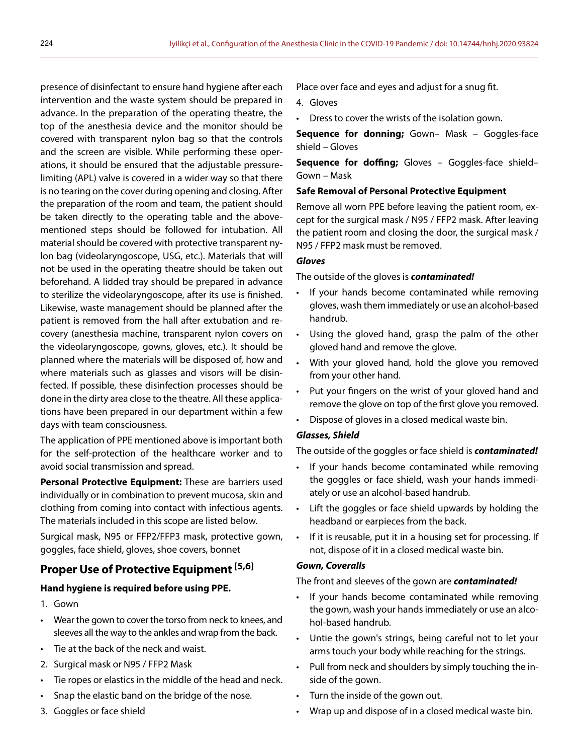presence of disinfectant to ensure hand hygiene after each intervention and the waste system should be prepared in advance. In the preparation of the operating theatre, the top of the anesthesia device and the monitor should be covered with transparent nylon bag so that the controls and the screen are visible. While performing these operations, it should be ensured that the adjustable pressurelimiting (APL) valve is covered in a wider way so that there is no tearing on the cover during opening and closing. After the preparation of the room and team, the patient should be taken directly to the operating table and the abovementioned steps should be followed for intubation. All material should be covered with protective transparent nylon bag (videolaryngoscope, USG, etc.). Materials that will not be used in the operating theatre should be taken out beforehand. A lidded tray should be prepared in advance to sterilize the videolaryngoscope, after its use is finished. Likewise, waste management should be planned after the patient is removed from the hall after extubation and recovery (anesthesia machine, transparent nylon covers on the videolaryngoscope, gowns, gloves, etc.). It should be planned where the materials will be disposed of, how and where materials such as glasses and visors will be disinfected. If possible, these disinfection processes should be done in the dirty area close to the theatre. All these applications have been prepared in our department within a few days with team consciousness.

The application of PPE mentioned above is important both for the self-protection of the healthcare worker and to avoid social transmission and spread.

**Personal Protective Equipment:** These are barriers used individually or in combination to prevent mucosa, skin and clothing from coming into contact with infectious agents. The materials included in this scope are listed below.

Surgical mask, N95 or FFP2/FFP3 mask, protective gown, goggles, face shield, gloves, shoe covers, bonnet

# **Proper Use of Protective Equipment [5,6]**

## **Hand hygiene is required before using PPE.**

- 1. Gown
- Wear the gown to cover the torso from neck to knees, and sleeves all the way to the ankles and wrap from the back.
- Tie at the back of the neck and waist.
- 2. Surgical mask or N95 / FFP2 Mask
- Tie ropes or elastics in the middle of the head and neck.
- Snap the elastic band on the bridge of the nose.
- 3. Goggles or face shield

Place over face and eyes and adjust for a snug fit.

- 4. Gloves
- Dress to cover the wrists of the isolation gown.

**Sequence for donning;** Gown– Mask – Goggles-face shield – Gloves

**Sequence for doffing;** Gloves – Goggles-face shield– Gown – Mask

## **Safe Removal of Personal Protective Equipment**

Remove all worn PPE before leaving the patient room, except for the surgical mask / N95 / FFP2 mask. After leaving the patient room and closing the door, the surgical mask / N95 / FFP2 mask must be removed.

#### *Gloves*

The outside of the gloves is *contaminated!*

- If your hands become contaminated while removing gloves, wash them immediately or use an alcohol-based handrub.
- Using the gloved hand, grasp the palm of the other gloved hand and remove the glove.
- With your gloved hand, hold the glove you removed from your other hand.
- Put your fingers on the wrist of your gloved hand and remove the glove on top of the first glove you removed.
- Dispose of gloves in a closed medical waste bin.

## *Glasses, Shield*

The outside of the goggles or face shield is *contaminated!*

- If your hands become contaminated while removing the goggles or face shield, wash your hands immediately or use an alcohol-based handrub.
- Lift the goggles or face shield upwards by holding the headband or earpieces from the back.
- If it is reusable, put it in a housing set for processing. If not, dispose of it in a closed medical waste bin.

#### *Gown, Coveralls*

#### The front and sleeves of the gown are *contaminated!*

- If your hands become contaminated while removing the gown, wash your hands immediately or use an alcohol-based handrub.
- Untie the gown's strings, being careful not to let your arms touch your body while reaching for the strings.
- Pull from neck and shoulders by simply touching the inside of the gown.
- Turn the inside of the gown out.
- Wrap up and dispose of in a closed medical waste bin.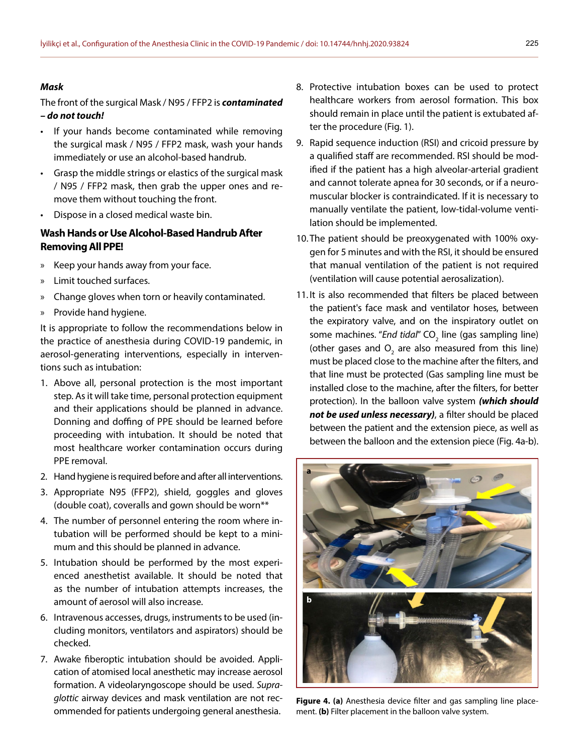#### *Mask*

The front of the surgical Mask / N95 / FFP2 is *contaminated – do not touch!*

- If your hands become contaminated while removing the surgical mask / N95 / FFP2 mask, wash your hands immediately or use an alcohol-based handrub.
- Grasp the middle strings or elastics of the surgical mask / N95 / FFP2 mask, then grab the upper ones and remove them without touching the front.
- Dispose in a closed medical waste bin.

# **Wash Hands or Use Alcohol-Based Handrub After Removing All PPE!**

- » Keep your hands away from your face.
- » Limit touched surfaces.
- » Change gloves when torn or heavily contaminated.
- » Provide hand hygiene.

It is appropriate to follow the recommendations below in the practice of anesthesia during COVID-19 pandemic, in aerosol-generating interventions, especially in interventions such as intubation:

- 1. Above all, personal protection is the most important step. As it will take time, personal protection equipment and their applications should be planned in advance. Donning and doffing of PPE should be learned before proceeding with intubation. It should be noted that most healthcare worker contamination occurs during PPE removal.
- 2. Hand hygiene is required before and after all interventions.
- 3. Appropriate N95 (FFP2), shield, goggles and gloves (double coat), coveralls and gown should be worn\*\*
- 4. The number of personnel entering the room where intubation will be performed should be kept to a minimum and this should be planned in advance.
- 5. Intubation should be performed by the most experienced anesthetist available. It should be noted that as the number of intubation attempts increases, the amount of aerosol will also increase.
- 6. Intravenous accesses, drugs, instruments to be used (including monitors, ventilators and aspirators) should be checked.
- 7. Awake fiberoptic intubation should be avoided. Application of atomised local anesthetic may increase aerosol formation. A videolaryngoscope should be used. *Supraglottic* airway devices and mask ventilation are not recommended for patients undergoing general anesthesia.
- 8. Protective intubation boxes can be used to protect healthcare workers from aerosol formation. This box should remain in place until the patient is extubated after the procedure (Fig. 1).
- 9. Rapid sequence induction (RSI) and cricoid pressure by a qualified staff are recommended. RSI should be modified if the patient has a high alveolar-arterial gradient and cannot tolerate apnea for 30 seconds, or if a neuromuscular blocker is contraindicated. If it is necessary to manually ventilate the patient, low-tidal-volume ventilation should be implemented.
- 10.The patient should be preoxygenated with 100% oxygen for 5 minutes and with the RSI, it should be ensured that manual ventilation of the patient is not required (ventilation will cause potential aerosalization).
- 11. It is also recommended that filters be placed between the patient's face mask and ventilator hoses, between the expiratory valve, and on the inspiratory outlet on some machines. "*End tidal*" CO<sub>2</sub> line (gas sampling line) (other gases and  $O_2$  are also measured from this line) must be placed close to the machine after the filters, and that line must be protected (Gas sampling line must be installed close to the machine, after the filters, for better protection). In the balloon valve system *(which should not be used unless necessary)*, a filter should be placed between the patient and the extension piece, as well as between the balloon and the extension piece (Fig. 4a-b).



**Figure 4. (a)** Anesthesia device filter and gas sampling line placement. **(b)** Filter placement in the balloon valve system.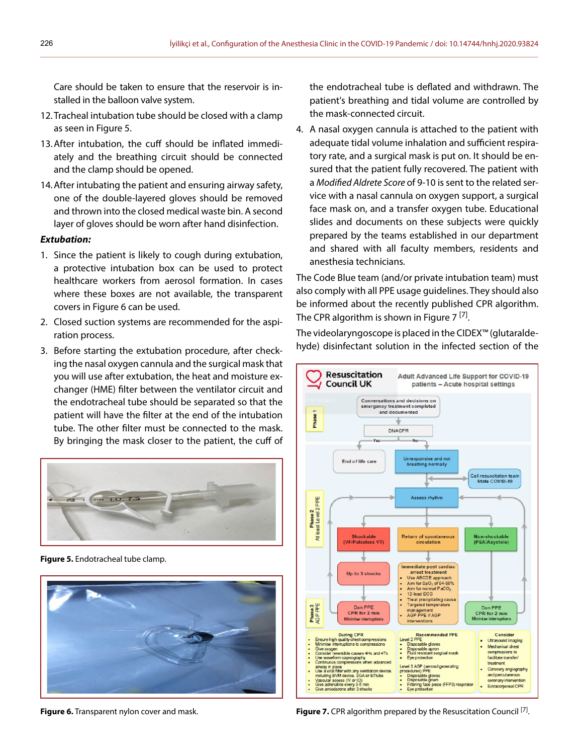Care should be taken to ensure that the reservoir is installed in the balloon valve system.

- 12.Tracheal intubation tube should be closed with a clamp as seen in Figure 5.
- 13.After intubation, the cuff should be inflated immediately and the breathing circuit should be connected and the clamp should be opened.
- 14.After intubating the patient and ensuring airway safety, one of the double-layered gloves should be removed and thrown into the closed medical waste bin. A second layer of gloves should be worn after hand disinfection.

#### *Extubation:*

- 1. Since the patient is likely to cough during extubation, a protective intubation box can be used to protect healthcare workers from aerosol formation. In cases where these boxes are not available, the transparent covers in Figure 6 can be used.
- 2. Closed suction systems are recommended for the aspiration process.
- 3. Before starting the extubation procedure, after checking the nasal oxygen cannula and the surgical mask that you will use after extubation, the heat and moisture exchanger (HME) filter between the ventilator circuit and the endotracheal tube should be separated so that the patient will have the filter at the end of the intubation tube. The other filter must be connected to the mask. By bringing the mask closer to the patient, the cuff of



**Figure 5.** Endotracheal tube clamp.



the endotracheal tube is deflated and withdrawn. The patient's breathing and tidal volume are controlled by the mask-connected circuit.

4. A nasal oxygen cannula is attached to the patient with adequate tidal volume inhalation and sufficient respiratory rate, and a surgical mask is put on. It should be ensured that the patient fully recovered. The patient with a *Modified Aldrete Score* of 9-10 is sent to the related service with a nasal cannula on oxygen support, a surgical face mask on, and a transfer oxygen tube. Educational slides and documents on these subjects were quickly prepared by the teams established in our department and shared with all faculty members, residents and anesthesia technicians.

The Code Blue team (and/or private intubation team) must also comply with all PPE usage guidelines. They should also be informed about the recently published CPR algorithm. The CPR algorithm is shown in Figure 7<sup>[7]</sup>.

The videolaryngoscope is placed in the CIDEX™ (glutaraldehyde) disinfectant solution in the infected section of the



**Figure 6.** Transparent nylon cover and mask. **Figure 7.** CPR algorithm prepared by the Resuscitation Council [7].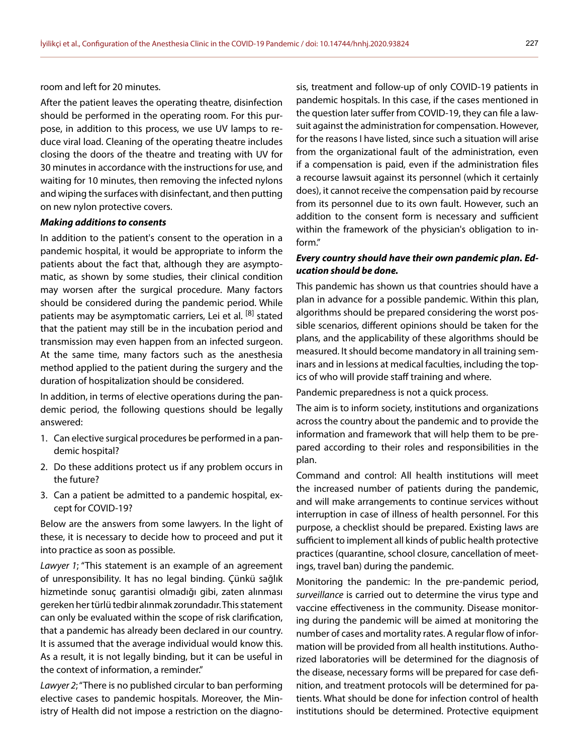room and left for 20 minutes.

After the patient leaves the operating theatre, disinfection should be performed in the operating room. For this purpose, in addition to this process, we use UV lamps to reduce viral load. Cleaning of the operating theatre includes closing the doors of the theatre and treating with UV for 30 minutes in accordance with the instructions for use, and waiting for 10 minutes, then removing the infected nylons and wiping the surfaces with disinfectant, and then putting on new nylon protective covers.

#### *Making additions to consents*

In addition to the patient's consent to the operation in a pandemic hospital, it would be appropriate to inform the patients about the fact that, although they are asymptomatic, as shown by some studies, their clinical condition may worsen after the surgical procedure. Many factors should be considered during the pandemic period. While patients may be asymptomatic carriers, Lei et al. <sup>[8]</sup> stated that the patient may still be in the incubation period and transmission may even happen from an infected surgeon. At the same time, many factors such as the anesthesia method applied to the patient during the surgery and the duration of hospitalization should be considered.

In addition, in terms of elective operations during the pandemic period, the following questions should be legally answered:

- 1. Can elective surgical procedures be performed in a pandemic hospital?
- 2. Do these additions protect us if any problem occurs in the future?
- 3. Can a patient be admitted to a pandemic hospital, except for COVID-19?

Below are the answers from some lawyers. In the light of these, it is necessary to decide how to proceed and put it into practice as soon as possible.

*Lawyer 1*; "This statement is an example of an agreement of unresponsibility. It has no legal binding. Çünkü sağlık hizmetinde sonuç garantisi olmadığı gibi, zaten alınması gereken her türlü tedbir alınmak zorundadır. This statement can only be evaluated within the scope of risk clarification, that a pandemic has already been declared in our country. It is assumed that the average individual would know this. As a result, it is not legally binding, but it can be useful in the context of information, a reminder."

*Lawyer 2*; "There is no published circular to ban performing elective cases to pandemic hospitals. Moreover, the Ministry of Health did not impose a restriction on the diagno-

sis, treatment and follow-up of only COVID-19 patients in pandemic hospitals. In this case, if the cases mentioned in the question later suffer from COVID-19, they can file a lawsuit against the administration for compensation. However, for the reasons I have listed, since such a situation will arise from the organizational fault of the administration, even if a compensation is paid, even if the administration files a recourse lawsuit against its personnel (which it certainly does), it cannot receive the compensation paid by recourse from its personnel due to its own fault. However, such an addition to the consent form is necessary and sufficient within the framework of the physician's obligation to inform."

## *Every country should have their own pandemic plan. Education should be done.*

This pandemic has shown us that countries should have a plan in advance for a possible pandemic. Within this plan, algorithms should be prepared considering the worst possible scenarios, different opinions should be taken for the plans, and the applicability of these algorithms should be measured. It should become mandatory in all training seminars and in lessions at medical faculties, including the topics of who will provide staff training and where.

Pandemic preparedness is not a quick process.

The aim is to inform society, institutions and organizations across the country about the pandemic and to provide the information and framework that will help them to be prepared according to their roles and responsibilities in the plan.

Command and control: All health institutions will meet the increased number of patients during the pandemic, and will make arrangements to continue services without interruption in case of illness of health personnel. For this purpose, a checklist should be prepared. Existing laws are sufficient to implement all kinds of public health protective practices (quarantine, school closure, cancellation of meetings, travel ban) during the pandemic.

Monitoring the pandemic: In the pre-pandemic period, *surveillance* is carried out to determine the virus type and vaccine effectiveness in the community. Disease monitoring during the pandemic will be aimed at monitoring the number of cases and mortality rates. A regular flow of information will be provided from all health institutions. Authorized laboratories will be determined for the diagnosis of the disease, necessary forms will be prepared for case definition, and treatment protocols will be determined for patients. What should be done for infection control of health institutions should be determined. Protective equipment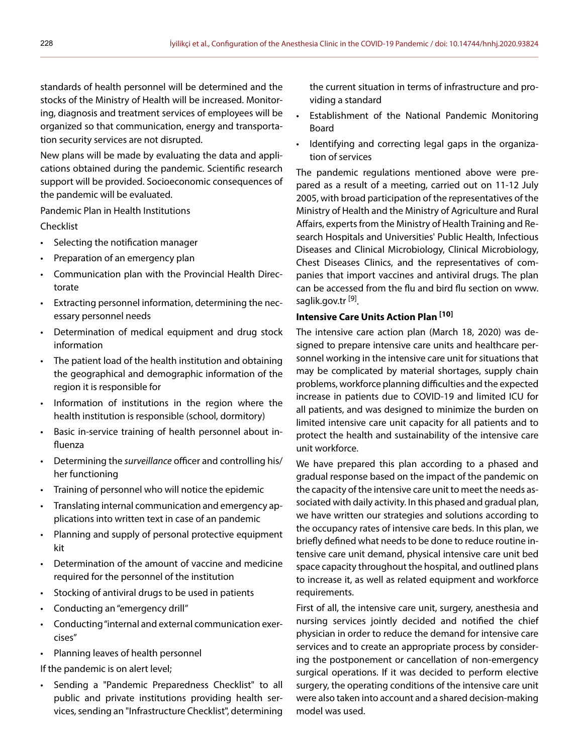standards of health personnel will be determined and the stocks of the Ministry of Health will be increased. Monitoring, diagnosis and treatment services of employees will be organized so that communication, energy and transportation security services are not disrupted.

New plans will be made by evaluating the data and applications obtained during the pandemic. Scientific research support will be provided. Socioeconomic consequences of the pandemic will be evaluated.

Pandemic Plan in Health Institutions

Checklist

- Selecting the notification manager
- Preparation of an emergency plan
- Communication plan with the Provincial Health Directorate
- Extracting personnel information, determining the necessary personnel needs
- Determination of medical equipment and drug stock information
- The patient load of the health institution and obtaining the geographical and demographic information of the region it is responsible for
- Information of institutions in the region where the health institution is responsible (school, dormitory)
- Basic in-service training of health personnel about influenza
- Determining the *surveillance* officer and controlling his/ her functioning
- Training of personnel who will notice the epidemic
- Translating internal communication and emergency applications into written text in case of an pandemic
- Planning and supply of personal protective equipment kit
- Determination of the amount of vaccine and medicine required for the personnel of the institution
- Stocking of antiviral drugs to be used in patients
- Conducting an "emergency drill"
- Conducting "internal and external communication exercises"
- Planning leaves of health personnel

If the pandemic is on alert level;

• Sending a "Pandemic Preparedness Checklist" to all public and private institutions providing health services, sending an "Infrastructure Checklist", determining the current situation in terms of infrastructure and providing a standard

- Establishment of the National Pandemic Monitoring Board
- Identifying and correcting legal gaps in the organization of services

The pandemic regulations mentioned above were prepared as a result of a meeting, carried out on 11-12 July 2005, with broad participation of the representatives of the Ministry of Health and the Ministry of Agriculture and Rural Affairs, experts from the Ministry of Health Training and Research Hospitals and Universities' Public Health, Infectious Diseases and Clinical Microbiology, Clinical Microbiology, Chest Diseases Clinics, and the representatives of companies that import vaccines and antiviral drugs. The plan can be accessed from the flu and bird flu section on www. saglik.gov.tr<sup>[9]</sup>.

# **Intensive Care Units Action Plan [10]**

The intensive care action plan (March 18, 2020) was designed to prepare intensive care units and healthcare personnel working in the intensive care unit for situations that may be complicated by material shortages, supply chain problems, workforce planning difficulties and the expected increase in patients due to COVID-19 and limited ICU for all patients, and was designed to minimize the burden on limited intensive care unit capacity for all patients and to protect the health and sustainability of the intensive care unit workforce.

We have prepared this plan according to a phased and gradual response based on the impact of the pandemic on the capacity of the intensive care unit to meet the needs associated with daily activity. In this phased and gradual plan, we have written our strategies and solutions according to the occupancy rates of intensive care beds. In this plan, we briefly defined what needs to be done to reduce routine intensive care unit demand, physical intensive care unit bed space capacity throughout the hospital, and outlined plans to increase it, as well as related equipment and workforce requirements.

First of all, the intensive care unit, surgery, anesthesia and nursing services jointly decided and notified the chief physician in order to reduce the demand for intensive care services and to create an appropriate process by considering the postponement or cancellation of non-emergency surgical operations. If it was decided to perform elective surgery, the operating conditions of the intensive care unit were also taken into account and a shared decision-making model was used.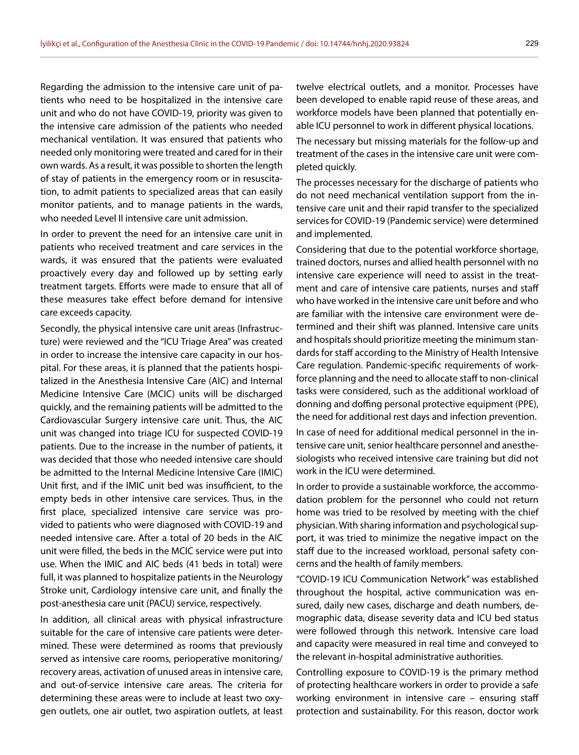Regarding the admission to the intensive care unit of patients who need to be hospitalized in the intensive care unit and who do not have COVID-19, priority was given to the intensive care admission of the patients who needed mechanical ventilation. It was ensured that patients who needed only monitoring were treated and cared for in their own wards. As a result, it was possible to shorten the length of stay of patients in the emergency room or in resuscitation, to admit patients to specialized areas that can easily monitor patients, and to manage patients in the wards, who needed Level II intensive care unit admission.

In order to prevent the need for an intensive care unit in patients who received treatment and care services in the wards, it was ensured that the patients were evaluated proactively every day and followed up by setting early treatment targets. Efforts were made to ensure that all of these measures take effect before demand for intensive care exceeds capacity.

Secondly, the physical intensive care unit areas (Infrastructure) were reviewed and the "ICU Triage Area" was created in order to increase the intensive care capacity in our hospital. For these areas, it is planned that the patients hospitalized in the Anesthesia Intensive Care (AIC) and Internal Medicine Intensive Care (MCIC) units will be discharged quickly, and the remaining patients will be admitted to the Cardiovascular Surgery intensive care unit. Thus, the AIC unit was changed into triage ICU for suspected COVID-19 patients. Due to the increase in the number of patients, it was decided that those who needed intensive care should be admitted to the Internal Medicine Intensive Care (IMIC) Unit first, and if the IMIC unit bed was insufficient, to the empty beds in other intensive care services. Thus, in the first place, specialized intensive care service was provided to patients who were diagnosed with COVID-19 and needed intensive care. After a total of 20 beds in the AIC unit were filled, the beds in the MCIC service were put into use. When the IMIC and AIC beds (41 beds in total) were full, it was planned to hospitalize patients in the Neurology Stroke unit, Cardiology intensive care unit, and finally the post-anesthesia care unit (PACU) service, respectively.

In addition, all clinical areas with physical infrastructure suitable for the care of intensive care patients were determined. These were determined as rooms that previously served as intensive care rooms, perioperative monitoring/ recovery areas, activation of unused areas in intensive care, and out-of-service intensive care areas. The criteria for determining these areas were to include at least two oxygen outlets, one air outlet, two aspiration outlets, at least

twelve electrical outlets, and a monitor. Processes have been developed to enable rapid reuse of these areas, and workforce models have been planned that potentially enable ICU personnel to work in different physical locations.

The necessary but missing materials for the follow-up and treatment of the cases in the intensive care unit were completed quickly.

The processes necessary for the discharge of patients who do not need mechanical ventilation support from the intensive care unit and their rapid transfer to the specialized services for COVID-19 (Pandemic service) were determined and implemented.

Considering that due to the potential workforce shortage, trained doctors, nurses and allied health personnel with no intensive care experience will need to assist in the treatment and care of intensive care patients, nurses and staff who have worked in the intensive care unit before and who are familiar with the intensive care environment were determined and their shift was planned. Intensive care units and hospitals should prioritize meeting the minimum standards for staff according to the Ministry of Health Intensive Care regulation. Pandemic-specific requirements of workforce planning and the need to allocate staff to non-clinical tasks were considered, such as the additional workload of donning and doffing personal protective equipment (PPE), the need for additional rest days and infection prevention.

In case of need for additional medical personnel in the intensive care unit, senior healthcare personnel and anesthesiologists who received intensive care training but did not work in the ICU were determined.

In order to provide a sustainable workforce, the accommodation problem for the personnel who could not return home was tried to be resolved by meeting with the chief physician. With sharing information and psychological support, it was tried to minimize the negative impact on the staff due to the increased workload, personal safety concerns and the health of family members.

"COVID-19 ICU Communication Network" was established throughout the hospital, active communication was ensured, daily new cases, discharge and death numbers, demographic data, disease severity data and ICU bed status were followed through this network. Intensive care load and capacity were measured in real time and conveyed to the relevant in-hospital administrative authorities.

Controlling exposure to COVID-19 is the primary method of protecting healthcare workers in order to provide a safe working environment in intensive care – ensuring staff protection and sustainability. For this reason, doctor work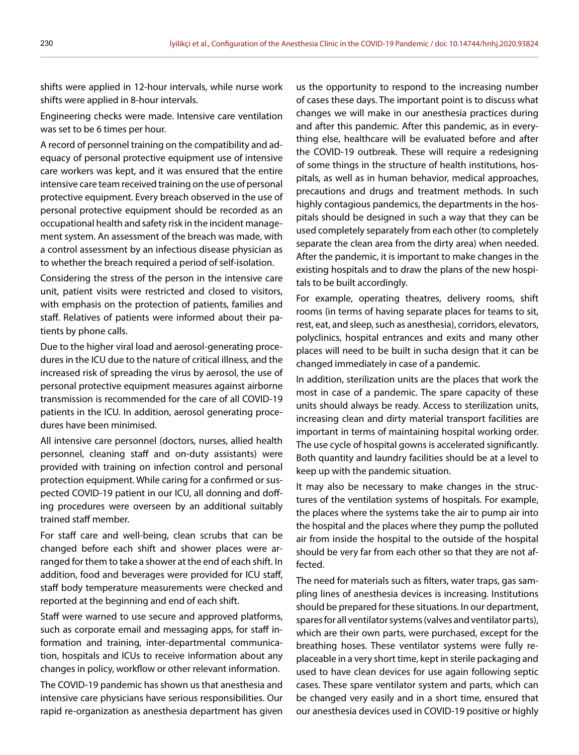shifts were applied in 12-hour intervals, while nurse work shifts were applied in 8-hour intervals.

Engineering checks were made. Intensive care ventilation was set to be 6 times per hour.

A record of personnel training on the compatibility and adequacy of personal protective equipment use of intensive care workers was kept, and it was ensured that the entire intensive care team received training on the use of personal protective equipment. Every breach observed in the use of personal protective equipment should be recorded as an occupational health and safety risk in the incident management system. An assessment of the breach was made, with a control assessment by an infectious disease physician as to whether the breach required a period of self-isolation.

Considering the stress of the person in the intensive care unit, patient visits were restricted and closed to visitors, with emphasis on the protection of patients, families and staff. Relatives of patients were informed about their patients by phone calls.

Due to the higher viral load and aerosol-generating procedures in the ICU due to the nature of critical illness, and the increased risk of spreading the virus by aerosol, the use of personal protective equipment measures against airborne transmission is recommended for the care of all COVID-19 patients in the ICU. In addition, aerosol generating procedures have been minimised.

All intensive care personnel (doctors, nurses, allied health personnel, cleaning staff and on-duty assistants) were provided with training on infection control and personal protection equipment. While caring for a confirmed or suspected COVID-19 patient in our ICU, all donning and doffing procedures were overseen by an additional suitably trained staff member.

For staff care and well-being, clean scrubs that can be changed before each shift and shower places were arranged for them to take a shower at the end of each shift. In addition, food and beverages were provided for ICU staff, staff body temperature measurements were checked and reported at the beginning and end of each shift.

Staff were warned to use secure and approved platforms, such as corporate email and messaging apps, for staff information and training, inter-departmental communication, hospitals and ICUs to receive information about any changes in policy, workflow or other relevant information.

The COVID-19 pandemic has shown us that anesthesia and intensive care physicians have serious responsibilities. Our rapid re-organization as anesthesia department has given

us the opportunity to respond to the increasing number of cases these days. The important point is to discuss what changes we will make in our anesthesia practices during and after this pandemic. After this pandemic, as in everything else, healthcare will be evaluated before and after the COVID-19 outbreak. These will require a redesigning of some things in the structure of health institutions, hospitals, as well as in human behavior, medical approaches, precautions and drugs and treatment methods. In such highly contagious pandemics, the departments in the hospitals should be designed in such a way that they can be used completely separately from each other (to completely separate the clean area from the dirty area) when needed. After the pandemic, it is important to make changes in the existing hospitals and to draw the plans of the new hospitals to be built accordingly.

For example, operating theatres, delivery rooms, shift rooms (in terms of having separate places for teams to sit, rest, eat, and sleep, such as anesthesia), corridors, elevators, polyclinics, hospital entrances and exits and many other places will need to be built in sucha design that it can be changed immediately in case of a pandemic.

In addition, sterilization units are the places that work the most in case of a pandemic. The spare capacity of these units should always be ready. Access to sterilization units, increasing clean and dirty material transport facilities are important in terms of maintaining hospital working order. The use cycle of hospital gowns is accelerated significantly. Both quantity and laundry facilities should be at a level to keep up with the pandemic situation.

It may also be necessary to make changes in the structures of the ventilation systems of hospitals. For example, the places where the systems take the air to pump air into the hospital and the places where they pump the polluted air from inside the hospital to the outside of the hospital should be very far from each other so that they are not affected.

The need for materials such as filters, water traps, gas sampling lines of anesthesia devices is increasing. Institutions should be prepared for these situations. In our department, spares for all ventilator systems (valves and ventilator parts), which are their own parts, were purchased, except for the breathing hoses. These ventilator systems were fully replaceable in a very short time, kept in sterile packaging and used to have clean devices for use again following septic cases. These spare ventilator system and parts, which can be changed very easily and in a short time, ensured that our anesthesia devices used in COVID-19 positive or highly